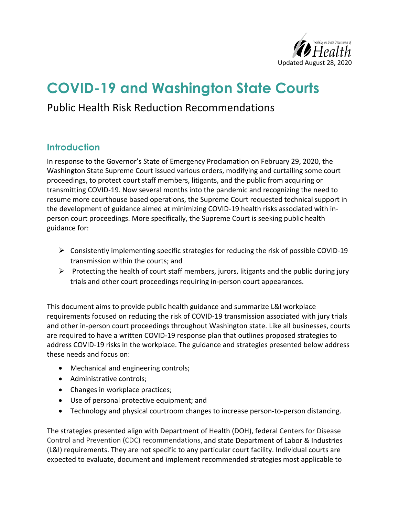

# **COVID-19 and Washington State Courts**

## Public Health Risk Reduction Recommendations

### **Introduction**

In response to the Governor's State of Emergency Proclamation on February 29, 2020, the Washington State Supreme Court issued various orders, modifying and curtailing some court proceedings, to protect court staff members, litigants, and the public from acquiring or transmitting COVID-19. Now several months into the pandemic and recognizing the need to resume more courthouse based operations, the Supreme Court requested technical support in the development of guidance aimed at minimizing COVID-19 health risks associated with inperson court proceedings. More specifically, the Supreme Court is seeking public health guidance for:

- $\triangleright$  Consistently implementing specific strategies for reducing the risk of possible COVID-19 transmission within the courts; and
- $\triangleright$  Protecting the health of court staff members, jurors, litigants and the public during jury trials and other court proceedings requiring in-person court appearances.

This document aims to provide public health guidance and summarize L&I workplace requirements focused on reducing the risk of COVID-19 transmission associated with jury trials and other in-person court proceedings throughout Washington state. Like all businesses, courts are required to have a written COVID-19 response plan that outlines proposed strategies to address COVID-19 risks in the workplace. The guidance and strategies presented below address these needs and focus on:

- Mechanical and engineering controls;
- Administrative controls;
- Changes in workplace practices;
- Use of personal protective equipment; and
- Technology and physical courtroom changes to increase person-to-person distancing.

The strategies presented align with Department of Health (DOH), federal Centers for Disease Control and Prevention (CDC) recommendations, and state Department of Labor & Industries (L&I) requirements. They are not specific to any particular court facility. Individual courts are expected to evaluate, document and implement recommended strategies most applicable to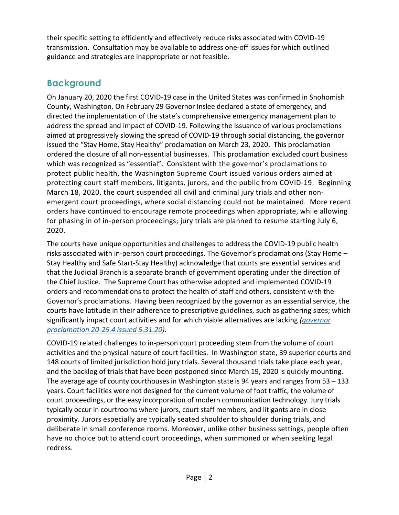their specific setting to efficiently and effectively reduce risks associated with COVID-19 transmission. Consultation may be available to address one-off issues for which outlined guidance and strategies are inappropriate or not feasible.

### **Background**

On January 20, 2020 the first COVID-19 case in the United States was confirmed in Snohomish County, Washington. On February 29 Governor Inslee declared a state of emergency, and directed the implementation of the state's comprehensive emergency management plan to address the spread and impact of COVID-19. Following the issuance of various proclamations aimed at progressively slowing the spread of COVID-19 through social distancing, the governor issued the "Stay Home, Stay Healthy" proclamation on March 23, 2020. This proclamation ordered the closure of all non-essential businesses. This proclamation excluded court business which was recognized as "essential". Consistent with the governor's proclamations to protect public health, the Washington Supreme Court issued various orders aimed at protecting court staff members, litigants, jurors, and the public from COVID-19. Beginning March 18, 2020, the court suspended all civil and criminal jury trials and other nonemergent court proceedings, where social distancing could not be maintained. More recent orders have continued to encourage remote proceedings when appropriate, while allowing for phasing in of in-person proceedings; jury trials are planned to resume starting July 6, 2020.

The courts have unique opportunities and challenges to address the COVID-19 public health risks associated with in-person court proceedings. The Governor's proclamations (Stay Home – Stay Healthy and Safe Start-Stay Healthy) acknowledge that courts are essential services and that the Judicial Branch is a separate branch of government operating under the direction of the Chief Justice. The Supreme Court has otherwise adopted and implemented COVID-19 orders and recommendations to protect the health of staff and others, consistent with the Governor's proclamations. Having been recognized by the governor as an essential service, the courts have latitude in their adherence to prescriptive guidelines, such as gathering sizes; which significantly impact court activities and for which viable alternatives are lacking *[\(governor](https://www.governor.wa.gov/sites/default/files/20-25.4%20-%20COVID-19%20Safe%20Start.pdf)  [proclamation 20-25.4 issued 5.31.20\)](https://www.governor.wa.gov/sites/default/files/20-25.4%20-%20COVID-19%20Safe%20Start.pdf)*.

COVID-19 related challenges to in-person court proceeding stem from the volume of court activities and the physical nature of court facilities. In Washington state, 39 superior courts and 148 courts of limited jurisdiction hold jury trials. Several thousand trials take place each year, and the backlog of trials that have been postponed since March 19, 2020 is quickly mounting. The average age of county courthouses in Washington state is 94 years and ranges from 53 – 133 years. Court facilities were not designed for the current volume of foot traffic, the volume of court proceedings, or the easy incorporation of modern communication technology. Jury trials typically occur in courtrooms where jurors, court staff members, and litigants are in close proximity. Jurors especially are typically seated shoulder to shoulder during trials, and deliberate in small conference rooms. Moreover, unlike other business settings, people often have no choice but to attend court proceedings, when summoned or when seeking legal redress.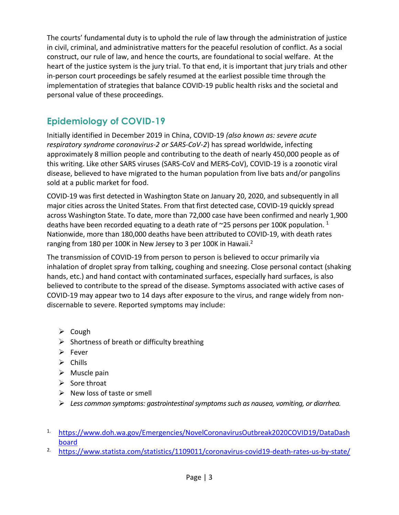The courts' fundamental duty is to uphold the rule of law through the administration of justice in civil, criminal, and administrative matters for the peaceful resolution of conflict. As a social construct, our rule of law, and hence the courts, are foundational to social welfare. At the heart of the justice system is the jury trial. To that end, it is important that jury trials and other in-person court proceedings be safely resumed at the earliest possible time through the implementation of strategies that balance COVID-19 public health risks and the societal and personal value of these proceedings.

### **Epidemiology of COVID-19**

Initially identified in December 2019 in China, COVID-19 *(also known as: severe acute respiratory syndrome coronavirus-2 or SARS-CoV-2*) has spread worldwide, infecting approximately 8 million people and contributing to the death of nearly 450,000 people as of this writing. Like other SARS viruses (SARS-CoV and MERS-CoV), COVID-19 is a zoonotic viral disease, believed to have migrated to the human population from live bats and/or pangolins sold at a public market for food.

COVID-19 was first detected in Washington State on January 20, 2020, and subsequently in all major cities across the United States. From that first detected case, COVID-19 quickly spread across Washington State. To date, more than 72,000 case have been confirmed and nearly 1,900 deaths have been recorded equating to a death rate of  $\sim$ 25 persons per 100K population. <sup>1</sup> Nationwide, more than 180,000 deaths have been attributed to COVID-19, with death rates ranging from 180 per 100K in New Jersey to 3 per 100K in Hawaii.2

The transmission of COVID-19 from person to person is believed to occur primarily via inhalation of droplet spray from talking, coughing and sneezing. Close personal contact (shaking hands, etc.) and hand contact with contaminated surfaces, especially hard surfaces, is also believed to contribute to the spread of the disease. Symptoms associated with active cases of COVID-19 may appear two to 14 days after exposure to the virus, and range widely from nondiscernable to severe. Reported symptoms may include:

- $\triangleright$  Cough
- $\triangleright$  Shortness of breath or difficulty breathing
- $\triangleright$  Fever
- $\triangleright$  Chills
- $\triangleright$  Muscle pain
- $\triangleright$  Sore throat
- $\triangleright$  New loss of taste or smell
- *Less common symptoms: gastrointestinal symptoms such as nausea, vomiting, or diarrhea.*
- 1. [https://www.doh.wa.gov/Emergencies/NovelCoronavirusOutbreak2020COVID19/DataDash](https://www.doh.wa.gov/Emergencies/NovelCoronavirusOutbreak2020COVID19/DataDashboard) [board](https://www.doh.wa.gov/Emergencies/NovelCoronavirusOutbreak2020COVID19/DataDashboard)
- <sup>2.</sup> <https://www.statista.com/statistics/1109011/coronavirus-covid19-death-rates-us-by-state/>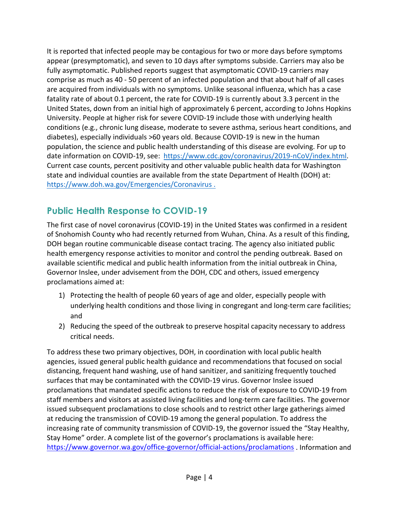It is reported that infected people may be contagious for two or more days before symptoms appear (presymptomatic), and seven to 10 days after symptoms subside. Carriers may also be fully asymptomatic. Published reports suggest that asymptomatic COVID-19 carriers may comprise as much as 40 - 50 percent of an infected population and that about half of all cases are acquired from individuals with no symptoms. Unlike seasonal influenza, which has a case fatality rate of about 0.1 percent, the rate for COVID-19 is currently about 3.3 percent in the United States, down from an initial high of approximately 6 percent, according to Johns Hopkins University. People at higher risk for severe COVID-19 include those with underlying health conditions (e.g., chronic lung disease, moderate to severe asthma, serious heart conditions, and diabetes), especially individuals >60 years old. Because COVID-19 is new in the human population, the science and public health understanding of this disease are evolving. For up to date information on COVID-19, see: [https://www.cdc.gov/coronavirus/2019-nCoV/index.html.](https://www.cdc.gov/coronavirus/2019-nCoV/index.html) Current case counts, percent positivity and other valuable public health data for Washington state and individual counties are available from the state Department of Health (DOH) at: <https://www.doh.wa.gov/Emergencies/Coronavirus> .

### **Public Health Response to COVID-19**

The first case of novel coronavirus (COVID-19) in the United States was confirmed in a resident of Snohomish County who had recently returned from Wuhan, China. As a result of this finding, DOH began routine communicable disease contact tracing. The agency also initiated public health emergency response activities to monitor and control the pending outbreak. Based on available scientific medical and public health information from the initial outbreak in China, Governor Inslee, under advisement from the DOH, CDC and others, issued emergency proclamations aimed at:

- 1) Protecting the health of people 60 years of age and older, especially people with underlying health conditions and those living in congregant and long-term care facilities; and
- 2) Reducing the speed of the outbreak to preserve hospital capacity necessary to address critical needs.

To address these two primary objectives, DOH, in coordination with local public health agencies, issued general public health guidance and recommendations that focused on social distancing, frequent hand washing, use of hand sanitizer, and sanitizing frequently touched surfaces that may be contaminated with the COVID-19 virus. Governor Inslee issued proclamations that mandated specific actions to reduce the risk of exposure to COVID-19 from staff members and visitors at assisted living facilities and long-term care facilities. The governor issued subsequent proclamations to close schools and to restrict other large gatherings aimed at reducing the transmission of COVID-19 among the general population. To address the increasing rate of community transmission of COVID-19, the governor issued the "Stay Healthy, Stay Home" order. A complete list of the governor's proclamations is available here: <https://www.governor.wa.gov/office-governor/official-actions/proclamations> . Information and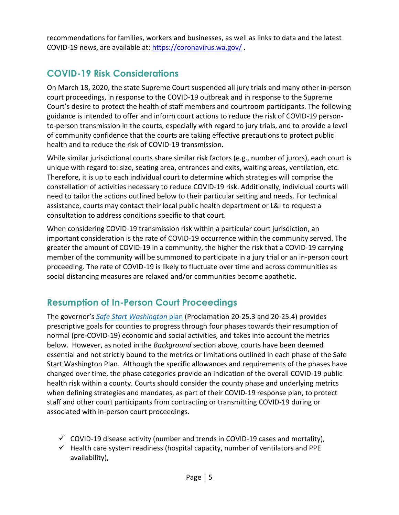recommendations for families, workers and businesses, as well as links to data and the latest COVID-19 news, are available at:<https://coronavirus.wa.gov/> .

### **COVID-19 Risk Considerations**

On March 18, 2020, the state Supreme Court suspended all jury trials and many other in-person court proceedings, in response to the COVID-19 outbreak and in response to the Supreme Court's desire to protect the health of staff members and courtroom participants. The following guidance is intended to offer and inform court actions to reduce the risk of COVID-19 personto-person transmission in the courts, especially with regard to jury trials, and to provide a level of community confidence that the courts are taking effective precautions to protect public health and to reduce the risk of COVID-19 transmission.

While similar jurisdictional courts share similar risk factors (e.g., number of jurors), each court is unique with regard to: size, seating area, entrances and exits, waiting areas, ventilation, etc. Therefore, it is up to each individual court to determine which strategies will comprise the constellation of activities necessary to reduce COVID-19 risk. Additionally, individual courts will need to tailor the actions outlined below to their particular setting and needs. For technical assistance, courts may contact their local public health department or L&I to request a consultation to address conditions specific to that court.

When considering COVID-19 transmission risk within a particular court jurisdiction, an important consideration is the rate of COVID-19 occurrence within the community served. The greater the amount of COVID-19 in a community, the higher the risk that a COVID-19 carrying member of the community will be summoned to participate in a jury trial or an in-person court proceeding. The rate of COVID-19 is likely to fluctuate over time and across communities as social distancing measures are relaxed and/or communities become apathetic.

### **Resumption of In-Person Court Proceedings**

The governor's *[Safe Start Washington](https://www.governor.wa.gov/sites/default/files/SafeStartWA_4May20_1pm.pdf)* plan (Proclamation 20-25.3 and 20-25.4) provides prescriptive goals for counties to progress through four phases towards their resumption of normal (pre-COVID-19) economic and social activities, and takes into account the metrics below. However, as noted in the *Background* section above, courts have been deemed essential and not strictly bound to the metrics or limitations outlined in each phase of the Safe Start Washington Plan. Although the specific allowances and requirements of the phases have changed over time, the phase categories provide an indication of the overall COVID-19 public health risk within a county. Courts should consider the county phase and underlying metrics when defining strategies and mandates, as part of their COVID-19 response plan, to protect staff and other court participants from contracting or transmitting COVID-19 during or associated with in-person court proceedings.

- $\checkmark$  COVID-19 disease activity (number and trends in COVID-19 cases and mortality),
- $\checkmark$  Health care system readiness (hospital capacity, number of ventilators and PPE availability),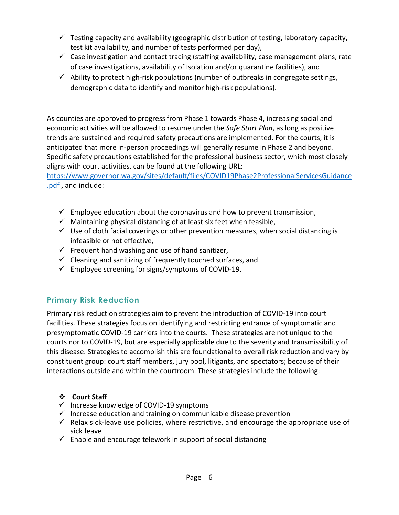- $\checkmark$  Testing capacity and availability (geographic distribution of testing, laboratory capacity, test kit availability, and number of tests performed per day),
- $\checkmark$  Case investigation and contact tracing (staffing availability, case management plans, rate of case investigations, availability of Isolation and/or quarantine facilities), and
- $\checkmark$  Ability to protect high-risk populations (number of outbreaks in congregate settings, demographic data to identify and monitor high-risk populations).

As counties are approved to progress from Phase 1 towards Phase 4, increasing social and economic activities will be allowed to resume under the *Safe Start Plan*, as long as positive trends are sustained and required safety precautions are implemented. For the courts, it is anticipated that more in-person proceedings will generally resume in Phase 2 and beyond. Specific safety precautions established for the professional business sector, which most closely aligns with court activities, can be found at the following URL:

[https://www.governor.wa.gov/sites/default/files/COVID19Phase2ProfessionalServicesGuidance](https://www.governor.wa.gov/sites/default/files/COVID19Phase2ProfessionalServicesGuidance.pdf) [.pdf](https://www.governor.wa.gov/sites/default/files/COVID19Phase2ProfessionalServicesGuidance.pdf) , and include:

- $\checkmark$  Employee education about the coronavirus and how to prevent transmission,
- $\checkmark$  Maintaining physical distancing of at least six feet when feasible,
- $\checkmark$  Use of cloth facial coverings or other prevention measures, when social distancing is infeasible or not effective,
- $\checkmark$  Frequent hand washing and use of hand sanitizer,
- $\checkmark$  Cleaning and sanitizing of frequently touched surfaces, and
- $\checkmark$  Employee screening for signs/symptoms of COVID-19.

### **Primary Risk Reduction**

Primary risk reduction strategies aim to prevent the introduction of COVID-19 into court facilities. These strategies focus on identifying and restricting entrance of symptomatic and presymptomatic COVID-19 carriers into the courts. These strategies are not unique to the courts nor to COVID-19, but are especially applicable due to the severity and transmissibility of this disease. Strategies to accomplish this are foundational to overall risk reduction and vary by constituent group: court staff members, jury pool, litigants, and spectators; because of their interactions outside and within the courtroom. These strategies include the following:

#### **Court Staff**

- $\checkmark$  Increase knowledge of COVID-19 symptoms
- $\checkmark$  Increase education and training on communicable disease prevention
- $\checkmark$  Relax sick-leave use policies, where restrictive, and encourage the appropriate use of sick leave
- $\checkmark$  Enable and encourage telework in support of social distancing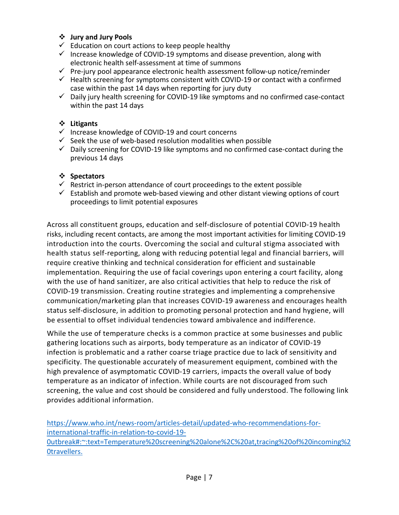#### **Jury and Jury Pools**

- $\checkmark$  Education on court actions to keep people healthy
- $\checkmark$  Increase knowledge of COVID-19 symptoms and disease prevention, along with electronic health self-assessment at time of summons
- $\checkmark$  Pre-jury pool appearance electronic health assessment follow-up notice/reminder
- $\checkmark$  Health screening for symptoms consistent with COVID-19 or contact with a confirmed case within the past 14 days when reporting for jury duty
- $\checkmark$  Daily jury health screening for COVID-19 like symptoms and no confirmed case-contact within the past 14 days

#### **Litigants**

- $\checkmark$  Increase knowledge of COVID-19 and court concerns
- $\checkmark$  Seek the use of web-based resolution modalities when possible
- $\checkmark$  Daily screening for COVID-19 like symptoms and no confirmed case-contact during the previous 14 days

#### **Spectators**

- $\checkmark$  Restrict in-person attendance of court proceedings to the extent possible
- $\checkmark$  Establish and promote web-based viewing and other distant viewing options of court proceedings to limit potential exposures

Across all constituent groups, education and self-disclosure of potential COVID-19 health risks, including recent contacts, are among the most important activities for limiting COVID-19 introduction into the courts. Overcoming the social and cultural stigma associated with health status self-reporting, along with reducing potential legal and financial barriers, will require creative thinking and technical consideration for efficient and sustainable implementation. Requiring the use of facial coverings upon entering a court facility, along with the use of hand sanitizer, are also critical activities that help to reduce the risk of COVID-19 transmission. Creating routine strategies and implementing a comprehensive communication/marketing plan that increases COVID-19 awareness and encourages health status self-disclosure, in addition to promoting personal protection and hand hygiene, will be essential to offset individual tendencies toward ambivalence and indifference.

While the use of temperature checks is a common practice at some businesses and public gathering locations such as airports, body temperature as an indicator of COVID-19 infection is problematic and a rather coarse triage practice due to lack of sensitivity and specificity. The questionable accurately of measurement equipment, combined with the high prevalence of asymptomatic COVID-19 carriers, impacts the overall value of body temperature as an indicator of infection. While courts are not discouraged from such screening, the value and cost should be considered and fully understood. The following link provides additional information.

[https://www.who.int/news-room/articles-detail/updated-who-recommendations-for](https://www.who.int/news-room/articles-detail/updated-who-recommendations-for-international-traffic-in-relation-to-covid-19-0utbreak#:%7E:text=Temperature%20screening%20alone%2C%20at,tracing%20of%20incoming%20travellers.)[international-traffic-in-relation-to-covid-19-](https://www.who.int/news-room/articles-detail/updated-who-recommendations-for-international-traffic-in-relation-to-covid-19-0utbreak#:%7E:text=Temperature%20screening%20alone%2C%20at,tracing%20of%20incoming%20travellers.) [0utbreak#:~:text=Temperature%20screening%20alone%2C%20at,tracing%20of%20incoming%2](https://www.who.int/news-room/articles-detail/updated-who-recommendations-for-international-traffic-in-relation-to-covid-19-0utbreak#:%7E:text=Temperature%20screening%20alone%2C%20at,tracing%20of%20incoming%20travellers.) [0travellers.](https://www.who.int/news-room/articles-detail/updated-who-recommendations-for-international-traffic-in-relation-to-covid-19-0utbreak#:%7E:text=Temperature%20screening%20alone%2C%20at,tracing%20of%20incoming%20travellers.)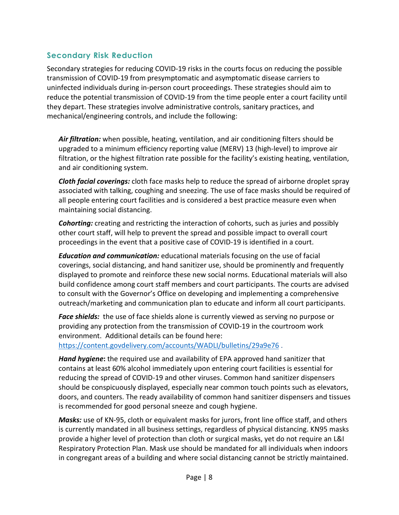#### **Secondary Risk Reduction**

Secondary strategies for reducing COVID-19 risks in the courts focus on reducing the possible transmission of COVID-19 from presymptomatic and asymptomatic disease carriers to uninfected individuals during in-person court proceedings. These strategies should aim to reduce the potential transmission of COVID-19 from the time people enter a court facility until they depart. These strategies involve administrative controls, sanitary practices, and mechanical/engineering controls, and include the following:

*Air filtration:* when possible, heating, ventilation, and air conditioning filters should be upgraded to a minimum efficiency reporting value (MERV) 13 (high-level) to improve air filtration, or the highest filtration rate possible for the facility's existing heating, ventilation, and air conditioning system.

*Cloth facial coverings:* cloth face masks help to reduce the spread of airborne droplet spray associated with talking, coughing and sneezing. The use of face masks should be required of all people entering court facilities and is considered a best practice measure even when maintaining social distancing.

*Cohorting:* creating and restricting the interaction of cohorts, such as juries and possibly other court staff, will help to prevent the spread and possible impact to overall court proceedings in the event that a positive case of COVID-19 is identified in a court.

*Education and communication:* educational materials focusing on the use of facial coverings, social distancing, and hand sanitizer use, should be prominently and frequently displayed to promote and reinforce these new social norms. Educational materials will also build confidence among court staff members and court participants. The courts are advised to consult with the Governor's Office on developing and implementing a comprehensive outreach/marketing and communication plan to educate and inform all court participants.

*Face shields:* the use of face shields alone is currently viewed as serving no purpose or providing any protection from the transmission of COVID-19 in the courtroom work environment. Additional details can be found here: <https://content.govdelivery.com/accounts/WADLI/bulletins/29a9e76> .

*Hand hygiene***:** the required use and availability of EPA approved hand sanitizer that contains at least 60% alcohol immediately upon entering court facilities is essential for reducing the spread of COVID-19 and other viruses. Common hand sanitizer dispensers should be conspicuously displayed, especially near common touch points such as elevators, doors, and counters. The ready availability of common hand sanitizer dispensers and tissues is recommended for good personal sneeze and cough hygiene.

*Masks:* use of KN-95, cloth or equivalent masks for jurors, front line office staff, and others is currently mandated in all business settings, regardless of physical distancing. KN95 masks provide a higher level of protection than cloth or surgical masks, yet do not require an L&I Respiratory Protection Plan. Mask use should be mandated for all individuals when indoors in congregant areas of a building and where social distancing cannot be strictly maintained.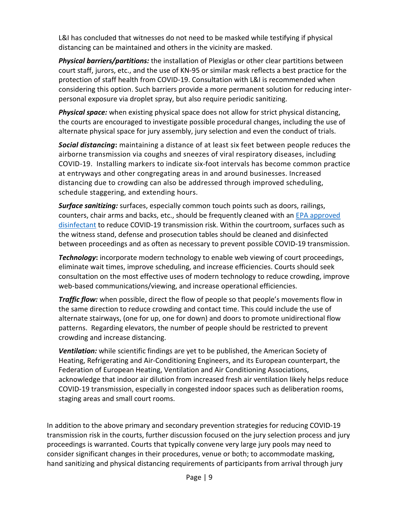L&I has concluded that witnesses do not need to be masked while testifying if physical distancing can be maintained and others in the vicinity are masked.

*Physical barriers/partitions:* the installation of Plexiglas or other clear partitions between court staff, jurors, etc., and the use of KN-95 or similar mask reflects a best practice for the protection of staff health from COVID-19. Consultation with L&I is recommended when considering this option. Such barriers provide a more permanent solution for reducing interpersonal exposure via droplet spray, but also require periodic sanitizing.

*Physical space:* when existing physical space does not allow for strict physical distancing, the courts are encouraged to investigate possible procedural changes, including the use of alternate physical space for jury assembly, jury selection and even the conduct of trials.

*Social distancing***:** maintaining a distance of at least six feet between people reduces the airborne transmission via coughs and sneezes of viral respiratory diseases, including COVID-19. Installing markers to indicate six-foot intervals has become common practice at entryways and other congregating areas in and around businesses. Increased distancing due to crowding can also be addressed through improved scheduling, schedule staggering, and extending hours.

*Surface sanitizing:* surfaces, especially common touch points such as doors, railings, counters, chair arms and backs, etc., should be frequently cleaned with an [EPA approved](https://www.epa.gov/pesticide-registration/list-n-disinfectants-use-against-sars-cov-2-covid-19)  [disinfectant](https://www.epa.gov/pesticide-registration/list-n-disinfectants-use-against-sars-cov-2-covid-19) to reduce COVID-19 transmission risk. Within the courtroom, surfaces such as the witness stand, defense and prosecution tables should be cleaned and disinfected between proceedings and as often as necessary to prevent possible COVID-19 transmission.

*Technology***:** incorporate modern technology to enable web viewing of court proceedings, eliminate wait times, improve scheduling, and increase efficiencies. Courts should seek consultation on the most effective uses of modern technology to reduce crowding, improve web-based communications/viewing, and increase operational efficiencies.

*Traffic flow:* when possible, direct the flow of people so that people's movements flow in the same direction to reduce crowding and contact time. This could include the use of alternate stairways, (one for up, one for down) and doors to promote unidirectional flow patterns. Regarding elevators, the number of people should be restricted to prevent crowding and increase distancing.

*Ventilation:* while scientific findings are yet to be published, the American Society of Heating, Refrigerating and Air-Conditioning Engineers, and its European counterpart, the Federation of European Heating, Ventilation and Air Conditioning Associations, acknowledge that indoor air dilution from increased fresh air ventilation likely helps reduce COVID-19 transmission, especially in congested indoor spaces such as deliberation rooms, staging areas and small court rooms.

In addition to the above primary and secondary prevention strategies for reducing COVID-19 transmission risk in the courts, further discussion focused on the jury selection process and jury proceedings is warranted. Courts that typically convene very large jury pools may need to consider significant changes in their procedures, venue or both; to accommodate masking, hand sanitizing and physical distancing requirements of participants from arrival through jury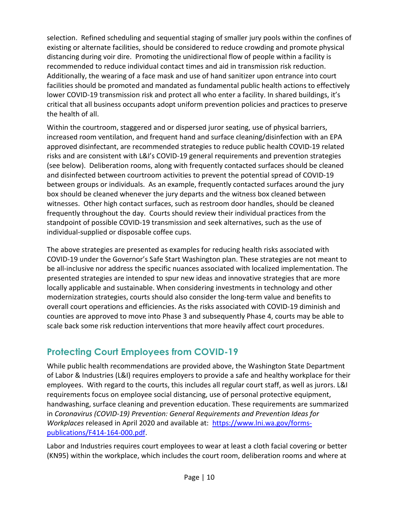selection. Refined scheduling and sequential staging of smaller jury pools within the confines of existing or alternate facilities, should be considered to reduce crowding and promote physical distancing during voir dire. Promoting the unidirectional flow of people within a facility is recommended to reduce individual contact times and aid in transmission risk reduction. Additionally, the wearing of a face mask and use of hand sanitizer upon entrance into court facilities should be promoted and mandated as fundamental public health actions to effectively lower COVID-19 transmission risk and protect all who enter a facility. In shared buildings, it's critical that all business occupants adopt uniform prevention policies and practices to preserve the health of all.

Within the courtroom, staggered and or dispersed juror seating, use of physical barriers, increased room ventilation, and frequent hand and surface cleaning/disinfection with an EPA approved disinfectant, are recommended strategies to reduce public health COVID-19 related risks and are consistent with L&I's COVID-19 general requirements and prevention strategies (see below). Deliberation rooms, along with frequently contacted surfaces should be cleaned and disinfected between courtroom activities to prevent the potential spread of COVID-19 between groups or individuals. As an example, frequently contacted surfaces around the jury box should be cleaned whenever the jury departs and the witness box cleaned between witnesses. Other high contact surfaces, such as restroom door handles, should be cleaned frequently throughout the day. Courts should review their individual practices from the standpoint of possible COVID-19 transmission and seek alternatives, such as the use of individual-supplied or disposable coffee cups.

The above strategies are presented as examples for reducing health risks associated with COVID-19 under the Governor's Safe Start Washington plan. These strategies are not meant to be all-inclusive nor address the specific nuances associated with localized implementation. The presented strategies are intended to spur new ideas and innovative strategies that are more locally applicable and sustainable. When considering investments in technology and other modernization strategies, courts should also consider the long-term value and benefits to overall court operations and efficiencies. As the risks associated with COVID-19 diminish and counties are approved to move into Phase 3 and subsequently Phase 4, courts may be able to scale back some risk reduction interventions that more heavily affect court procedures.

### **Protecting Court Employees from COVID-19**

While public health recommendations are provided above, the Washington State Department of Labor & Industries (L&I) requires employers to provide a safe and healthy workplace for their employees. With regard to the courts, this includes all regular court staff, as well as jurors. L&I requirements focus on employee social distancing, use of personal protective equipment, handwashing, surface cleaning and prevention education. These requirements are summarized in *Coronavirus (COVID-19) Prevention: General Requirements and Prevention Ideas for Workplaces* released in April 2020 and available at: [https://www.lni.wa.gov/forms](https://www.lni.wa.gov/forms-publications/F414-164-000.pdf)[publications/F414-164-000.pdf.](https://www.lni.wa.gov/forms-publications/F414-164-000.pdf)

Labor and Industries requires court employees to wear at least a cloth facial covering or better (KN95) within the workplace, which includes the court room, deliberation rooms and where at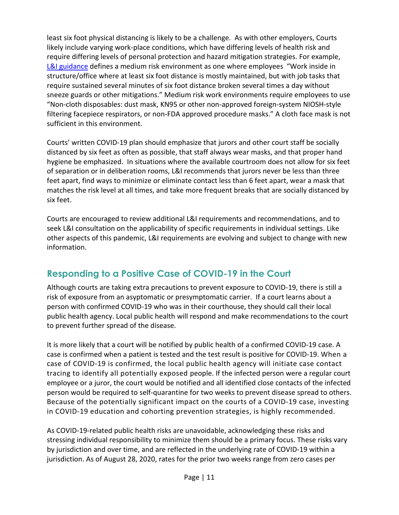least six foot physical distancing is likely to be a challenge. As with other employers, Courts likely include varying work-place conditions, which have differing levels of health risk and require differing levels of personal protection and hazard mitigation strategies. For example, [L&I guidance](https://lni.wa.gov/dA/1d2a778d31/dd1180.pdf) defines a medium risk environment as one where employees "Work inside in structure/office where at least six foot distance is mostly maintained, but with job tasks that require sustained several minutes of six foot distance broken several times a day without sneeze guards or other mitigations." Medium risk work environments require employees to use "Non-cloth disposables: dust mask, KN95 or other non-approved foreign-system NIOSH-style filtering facepiece respirators, or non-FDA approved procedure masks." A cloth face mask is not sufficient in this environment.

Courts' written COVID-19 plan should emphasize that jurors and other court staff be socially distanced by six feet as often as possible, that staff always wear masks, and that proper hand hygiene be emphasized. In situations where the available courtroom does not allow for six feet of separation or in deliberation rooms, L&I recommends that jurors never be less than three feet apart, find ways to minimize or eliminate contact less than 6 feet apart, wear a mask that matches the risk level at all times, and take more frequent breaks that are socially distanced by six feet.

Courts are encouraged to review additional L&I requirements and recommendations, and to seek L&I consultation on the applicability of specific requirements in individual settings. Like other aspects of this pandemic, L&I requirements are evolving and subject to change with new information.

### **Responding to a Positive Case of COVID-19 in the Court**

Although courts are taking extra precautions to prevent exposure to COVID-19, there is still a risk of exposure from an asyptomatic or presymptomatic carrier. If a court learns about a person with confirmed COVID-19 who was in their courthouse, they should call their local public health agency. Local public health will respond and make recommendations to the court to prevent further spread of the disease.

It is more likely that a court will be notified by public health of a confirmed COVID-19 case. A case is confirmed when a patient is tested and the test result is positive for COVID-19. When a case of COVID-19 is confirmed, the local public health agency will initiate case contact tracing to identify all potentially exposed people. If the infected person were a regular court employee or a juror, the court would be notified and all identified close contacts of the infected person would be required to self-quarantine for two weeks to prevent disease spread to others. Because of the potentially significant impact on the courts of a COVID-19 case, investing in COVID-19 education and cohorting prevention strategies, is highly recommended.

As COVID-19-related public health risks are unavoidable, acknowledging these risks and stressing individual responsibility to minimize them should be a primary focus. These risks vary by jurisdiction and over time, and are reflected in the underlying rate of COVID-19 within a jurisdiction. As of August 28, 2020, rates for the prior two weeks range from zero cases per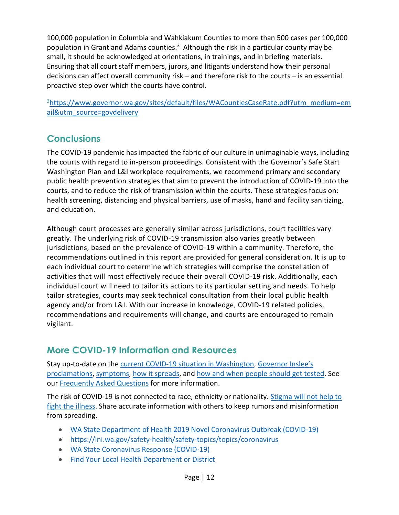100,000 population in Columbia and Wahkiakum Counties to more than 500 cases per 100,000 population in Grant and Adams counties.<sup>3</sup> Although the risk in a particular county may be small, it should be acknowledged at orientations, in trainings, and in briefing materials. Ensuring that all court staff members, jurors, and litigants understand how their personal decisions can affect overall community risk – and therefore risk to the courts – is an essential proactive step over which the courts have control.

<sup>3</sup>https://www.governor.wa.gov/sites/default/files/WACountiesCaseRate.pdf?utm\_medium=em [ail&utm\\_source=govdelivery](https://www.governor.wa.gov/sites/default/files/WACountiesCaseRate.pdf?utm_medium=email&utm_source=govdelivery)

### **Conclusions**

The COVID-19 pandemic has impacted the fabric of our culture in unimaginable ways, including the courts with regard to in-person proceedings. Consistent with the Governor's Safe Start Washington Plan and L&I workplace requirements, we recommend primary and secondary public health prevention strategies that aim to prevent the introduction of COVID-19 into the courts, and to reduce the risk of transmission within the courts. These strategies focus on: health screening, distancing and physical barriers, use of masks, hand and facility sanitizing, and education.

Although court processes are generally similar across jurisdictions, court facilities vary greatly. The underlying risk of COVID-19 transmission also varies greatly between jurisdictions, based on the prevalence of COVID-19 within a community. Therefore, the recommendations outlined in this report are provided for general consideration. It is up to each individual court to determine which strategies will comprise the constellation of activities that will most effectively reduce their overall COVID-19 risk. Additionally, each individual court will need to tailor its actions to its particular setting and needs. To help tailor strategies, courts may seek technical consultation from their local public health agency and/or from L&I. With our increase in knowledge, COVID-19 related policies, recommendations and requirements will change, and courts are encouraged to remain vigilant.

### **More COVID-19 Information and Resources**

Stay up-to-date on the [current COVID-19 situation in Washington,](https://www.doh.wa.gov/Emergencies/Coronavirus) Governor Inslee's [proclamations,](https://www.governor.wa.gov/office-governor/official-actions/proclamations) [symptoms,](https://www.doh.wa.gov/Emergencies/NovelCoronavirusOutbreak2020/FrequentlyAskedQuestions#what-are-symptoms) [how it spreads,](https://www.doh.wa.gov/Emergencies/NovelCoronavirusOutbreak2020/FrequentlyAskedQuestions#spread) and [how and when people should get tested.](https://www.doh.wa.gov/Emergencies/NovelCoronavirusOutbreak2020/TestingforCOVID19) See our [Frequently Asked Questions](https://www.doh.wa.gov/Emergencies/NovelCoronavirusOutbreak2020/FrequentlyAskedQuestions) for more information.

The risk of COVID-19 is not connected to race, ethnicity or nationality. [Stigma will not help to](https://medium.com/wadepthealth/it-takes-all-of-us-to-reduce-stigma-during-disease-outbreaks-310db60dce29)  [fight the illness.](https://medium.com/wadepthealth/it-takes-all-of-us-to-reduce-stigma-during-disease-outbreaks-310db60dce29) Share accurate information with others to keep rumors and misinformation from spreading.

- [WA State Department of Health 2019 Novel Coronavirus Outbreak \(COVID-19\)](https://www.doh.wa.gov/emergencies/coronavirus)
- <https://lni.wa.gov/safety-health/safety-topics/topics/coronavirus>
- [WA State Coronavirus Response \(COVID-19\)](https://coronavirus.wa.gov/)
- Find Your [Local Health Department or District](https://www.doh.wa.gov/AboutUs/PublicHealthSystem/LocalHealthJurisdictions)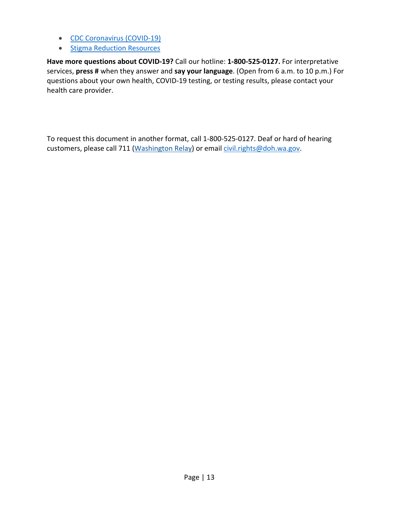- CDC Coronavirus (COVID-19)
- [Stigma Reduction](https://www.doh.wa.gov/Emergencies/NovelCoronavirusOutbreak2020/StigmaReduction) Resources

**Have more questions about COVID-19?** Call our hotline: **1-800-525-0127.** For interpretative services, **press #** when they answer and **say your language**. (Open from 6 a.m. to 10 p.m.) For questions about your own health, COVID-19 testing, or testing results, please contact your health care provider.

To request this document in another format, call 1-800-525-0127. Deaf or hard of hearing customers, please call 711 (Washington Relay) or email [civil.rights@doh.wa.gov.](mailto:civil.rights@doh.wa.gov)